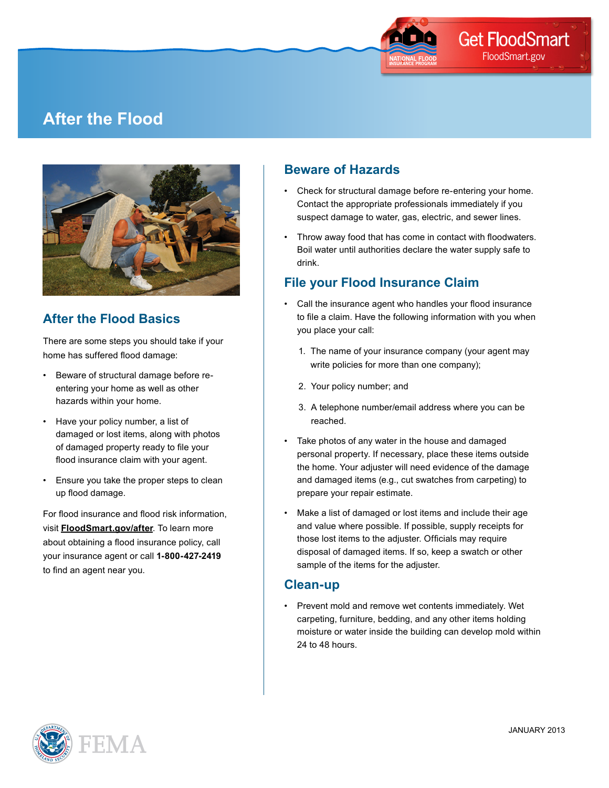

# **After the Flood**



## **After the Flood Basics**

There are some steps you should take if your home has suffered flood damage:

- Beware of structural damage before reentering your home as well as other hazards within your home.
- Have your policy number, a list of damaged or lost items, along with photos of damaged property ready to file your flood insurance claim with your agent.
- Ensure you take the proper steps to clean up flood damage.

For flood insurance and flood risk information, visit **[FloodSmart.gov/after](http://www.FloodSmart.gov/after)**. To learn more about obtaining a flood insurance policy, call your insurance agent or call **1-800-427-2419** to find an agent near you.

### **Beware of Hazards**

- Check for structural damage before re-entering your home. Contact the appropriate professionals immediately if you suspect damage to water, gas, electric, and sewer lines.
- Throw away food that has come in contact with floodwaters. Boil water until authorities declare the water supply safe to drink.

### **File your Flood Insurance Claim**

- Call the insurance agent who handles your flood insurance to file a claim. Have the following information with you when you place your call:
	- 1. The name of your insurance company (your agent may write policies for more than one company);
	- 2. Your policy number; and
	- 3. A telephone number/email address where you can be reached.
- Take photos of any water in the house and damaged personal property. If necessary, place these items outside the home. Your adjuster will need evidence of the damage and damaged items (e.g., cut swatches from carpeting) to prepare your repair estimate.
- Make a list of damaged or lost items and include their age and value where possible. If possible, supply receipts for those lost items to the adjuster. Officials may require disposal of damaged items. If so, keep a swatch or other sample of the items for the adjuster.

#### **Clean-up**

• Prevent mold and remove wet contents immediately. Wet carpeting, furniture, bedding, and any other items holding moisture or water inside the building can develop mold within 24 to 48 hours.